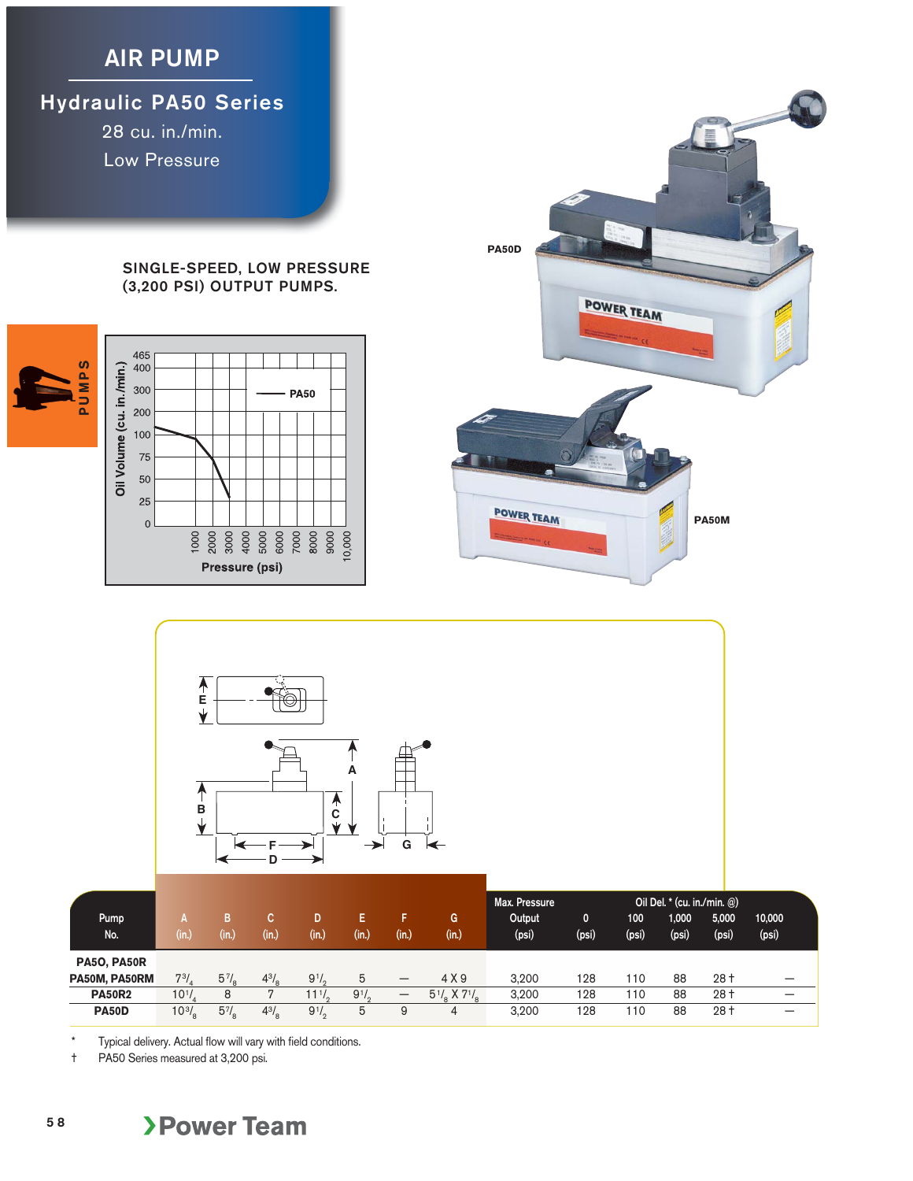## **AIR PUMP**

**Hydraulic PA50 Series**

28 cu. in./min. Low Pressure

## **SINGLE-SPEED, LOW PRESSURE (3,200 PSI) OUTPUT PUMPS.**







| Pump<br>No.                         | (in.              | В<br>(in.)          | C.<br>(in.)         | D<br>(in.)             | E<br>(in.) | F.<br>(in.)                     | G<br>(in.)                                     | Max. Pressure<br>Output<br>(psi) | $\mathbf{0}$<br>(psi) | 100<br>(psi) | Oil Del. * (cu. in./min. @)<br>1,000<br>(psi) | 5,000<br>(psi) | 10,000<br>(psi) |
|-------------------------------------|-------------------|---------------------|---------------------|------------------------|------------|---------------------------------|------------------------------------------------|----------------------------------|-----------------------|--------------|-----------------------------------------------|----------------|-----------------|
| <b>PA50, PA50R</b><br>PA50M, PA50RM | $7^{3}$ .         |                     |                     |                        | 5          |                                 | 4 X 9                                          | 3.200                            | 128                   | 110          | 88                                            | $28+$          |                 |
| <b>PA50R2</b>                       | $10^{1}/_{4}$     | $5\frac{7}{8}$<br>8 | $4^{3}/_{\text{g}}$ | $9^{1}/$<br>$11^{1/2}$ | $9^{1/2}$  | $\hspace{0.1mm}-\hspace{0.1mm}$ | $5^{1}/_{\circ}$ X 7 <sup>1</sup> / $_{\circ}$ | 3.200                            | 128                   | 110          | 88                                            | $28+$          | –<br>-          |
| <b>PA50D</b>                        | $10^{3}/_{\rm s}$ | $5\frac{7}{8}$      | $4^{3}/_{8}$        | $9^{1/2}$              | 5          | 9                               | 4                                              | 3.200                            | 128                   | 110          | 88                                            | $28+$          | –               |

Typical delivery. Actual flow will vary with field conditions.

† PA50 Series measured at 3,200 psi.